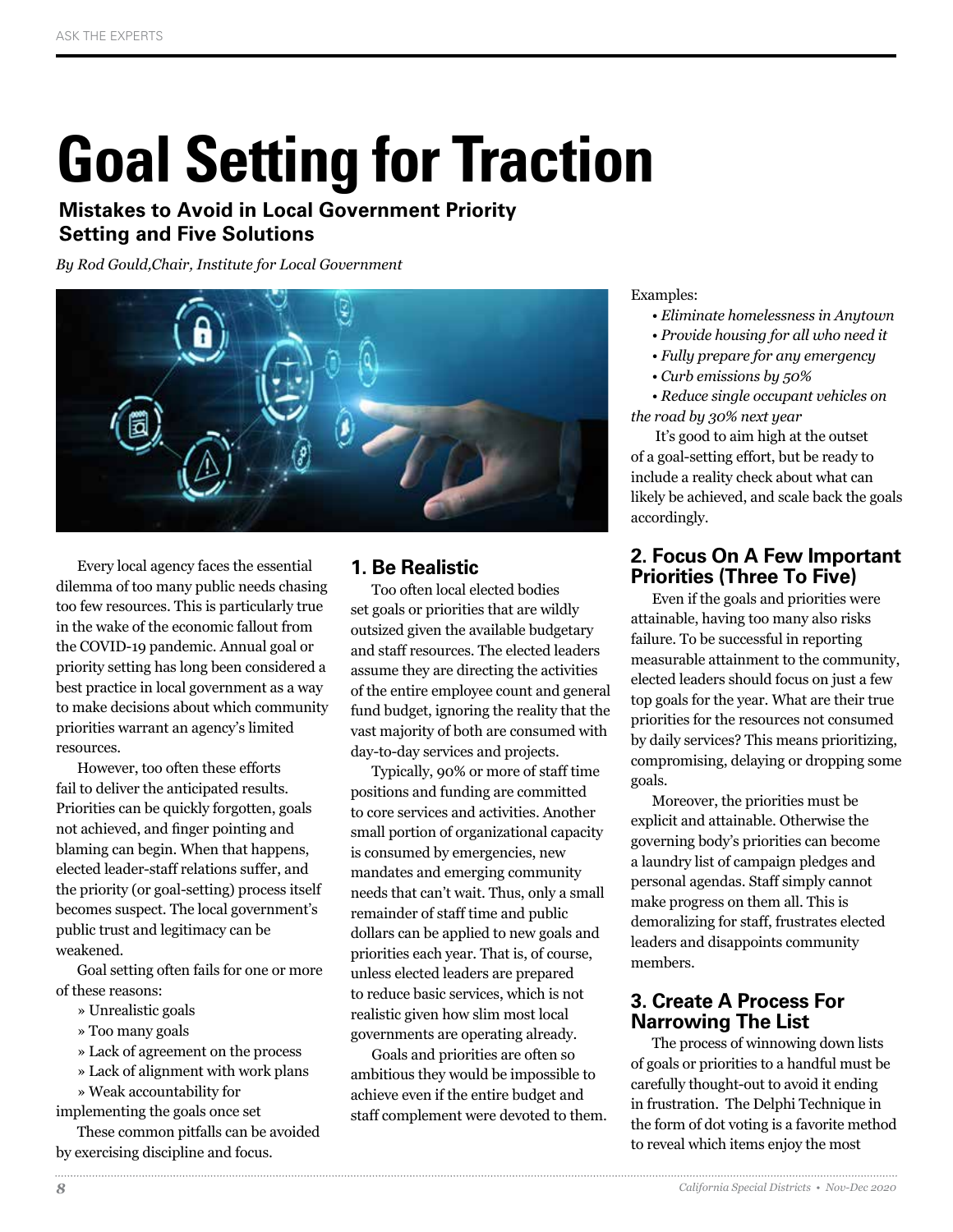# **Goal Setting for Traction**

## **Mistakes to Avoid in Local Government Priority Setting and Five Solutions**

*By Rod Gould,Chair, Institute for Local Government*



Every local agency faces the essential dilemma of too many public needs chasing too few resources. This is particularly true in the wake of the economic fallout from the COVID-19 pandemic. Annual goal or priority setting has long been considered a best practice in local government as a way to make decisions about which community priorities warrant an agency's limited resources.

However, too often these efforts fail to deliver the anticipated results. Priorities can be quickly forgotten, goals not achieved, and finger pointing and blaming can begin. When that happens, elected leader-staff relations suffer, and the priority (or goal-setting) process itself becomes suspect. The local government's public trust and legitimacy can be weakened.

Goal setting often fails for one or more of these reasons:

- » Unrealistic goals
- » Too many goals
- » Lack of agreement on the process
- » Lack of alignment with work plans
- » Weak accountability for

implementing the goals once set

These common pitfalls can be avoided by exercising discipline and focus.

## **1. Be Realistic**

Too often local elected bodies set goals or priorities that are wildly outsized given the available budgetary and staff resources. The elected leaders assume they are directing the activities of the entire employee count and general fund budget, ignoring the reality that the vast majority of both are consumed with day-to-day services and projects.

Typically, 90% or more of staff time positions and funding are committed to core services and activities. Another small portion of organizational capacity is consumed by emergencies, new mandates and emerging community needs that can't wait. Thus, only a small remainder of staff time and public dollars can be applied to new goals and priorities each year. That is, of course, unless elected leaders are prepared to reduce basic services, which is not realistic given how slim most local governments are operating already.

Goals and priorities are often so ambitious they would be impossible to achieve even if the entire budget and staff complement were devoted to them.

### Examples:

- *Eliminate homelessness in Anytown*
- *Provide housing for all who need it*
- *Fully prepare for any emergency*
- *Curb emissions by 50%*

*• Reduce single occupant vehicles on the road by 30% next year*

 It's good to aim high at the outset of a goal-setting effort, but be ready to include a reality check about what can likely be achieved, and scale back the goals accordingly.

## **2. Focus On A Few Important Priorities (Three To Five)**

Even if the goals and priorities were attainable, having too many also risks failure. To be successful in reporting measurable attainment to the community, elected leaders should focus on just a few top goals for the year. What are their true priorities for the resources not consumed by daily services? This means prioritizing, compromising, delaying or dropping some goals.

Moreover, the priorities must be explicit and attainable. Otherwise the governing body's priorities can become a laundry list of campaign pledges and personal agendas. Staff simply cannot make progress on them all. This is demoralizing for staff, frustrates elected leaders and disappoints community members.

## **3. Create A Process For Narrowing The List**

The process of winnowing down lists of goals or priorities to a handful must be carefully thought-out to avoid it ending in frustration. The Delphi Technique in the form of dot voting is a favorite method to reveal which items enjoy the most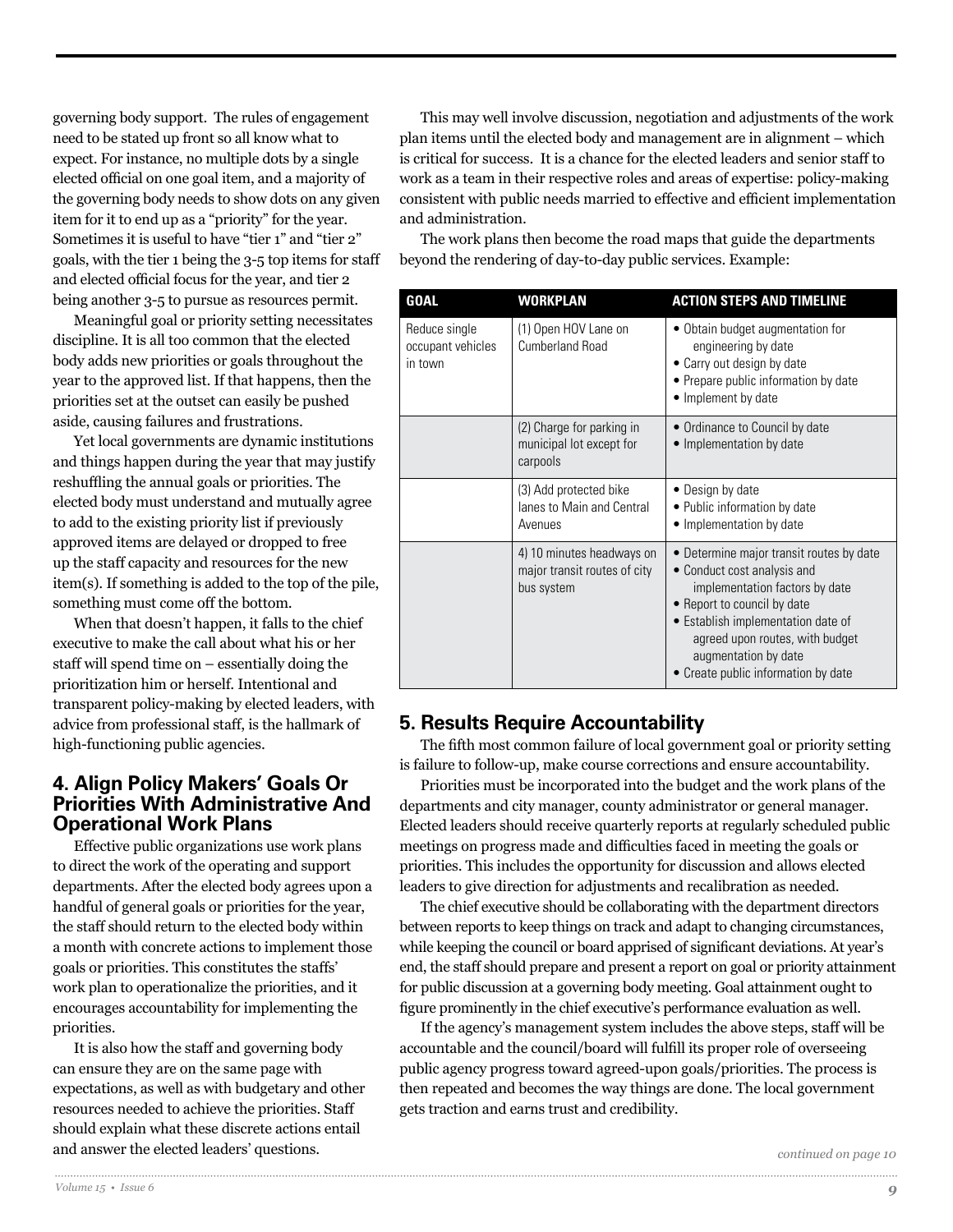governing body support. The rules of engagement need to be stated up front so all know what to expect. For instance, no multiple dots by a single elected official on one goal item, and a majority of the governing body needs to show dots on any given item for it to end up as a "priority" for the year. Sometimes it is useful to have "tier 1" and "tier 2" goals, with the tier 1 being the 3-5 top items for staff and elected official focus for the year, and tier 2 being another 3-5 to pursue as resources permit.

Meaningful goal or priority setting necessitates discipline. It is all too common that the elected body adds new priorities or goals throughout the year to the approved list. If that happens, then the priorities set at the outset can easily be pushed aside, causing failures and frustrations.

Yet local governments are dynamic institutions and things happen during the year that may justify reshuffling the annual goals or priorities. The elected body must understand and mutually agree to add to the existing priority list if previously approved items are delayed or dropped to free up the staff capacity and resources for the new item(s). If something is added to the top of the pile, something must come off the bottom.

When that doesn't happen, it falls to the chief executive to make the call about what his or her staff will spend time on – essentially doing the prioritization him or herself. Intentional and transparent policy-making by elected leaders, with advice from professional staff, is the hallmark of high-functioning public agencies.

## **4. Align Policy Makers' Goals Or Priorities With Administrative And Operational Work Plans**

Effective public organizations use work plans to direct the work of the operating and support departments. After the elected body agrees upon a handful of general goals or priorities for the year, the staff should return to the elected body within a month with concrete actions to implement those goals or priorities. This constitutes the staffs' work plan to operationalize the priorities, and it encourages accountability for implementing the priorities.

It is also how the staff and governing body can ensure they are on the same page with expectations, as well as with budgetary and other resources needed to achieve the priorities. Staff should explain what these discrete actions entail and answer the elected leaders' questions.

This may well involve discussion, negotiation and adjustments of the work plan items until the elected body and management are in alignment – which is critical for success. It is a chance for the elected leaders and senior staff to work as a team in their respective roles and areas of expertise: policy-making consistent with public needs married to effective and efficient implementation and administration.

The work plans then become the road maps that guide the departments beyond the rendering of day-to-day public services. Example:

| <b>GOAL</b>                                   | <b>WORKPLAN</b>                                                         | <b>ACTION STEPS AND TIMELINE</b>                                                                                                                                                                                                                                                 |
|-----------------------------------------------|-------------------------------------------------------------------------|----------------------------------------------------------------------------------------------------------------------------------------------------------------------------------------------------------------------------------------------------------------------------------|
| Reduce single<br>occupant vehicles<br>in town | (1) Open HOV Lane on<br><b>Cumberland Road</b>                          | • Obtain budget augmentation for<br>engineering by date<br>• Carry out design by date<br>• Prepare public information by date<br>• Implement by date                                                                                                                             |
|                                               | (2) Charge for parking in<br>municipal lot except for<br>carpools       | • Ordinance to Council by date<br>• Implementation by date                                                                                                                                                                                                                       |
|                                               | (3) Add protected bike<br>lanes to Main and Central<br>Avenues          | • Design by date<br>• Public information by date<br>• Implementation by date                                                                                                                                                                                                     |
|                                               | 4) 10 minutes headways on<br>major transit routes of city<br>bus system | • Determine major transit routes by date<br>• Conduct cost analysis and<br>implementation factors by date<br>• Report to council by date<br>· Establish implementation date of<br>agreed upon routes, with budget<br>augmentation by date<br>• Create public information by date |

## **5. Results Require Accountability**

The fifth most common failure of local government goal or priority setting is failure to follow-up, make course corrections and ensure accountability.

Priorities must be incorporated into the budget and the work plans of the departments and city manager, county administrator or general manager. Elected leaders should receive quarterly reports at regularly scheduled public meetings on progress made and difficulties faced in meeting the goals or priorities. This includes the opportunity for discussion and allows elected leaders to give direction for adjustments and recalibration as needed.

The chief executive should be collaborating with the department directors between reports to keep things on track and adapt to changing circumstances, while keeping the council or board apprised of significant deviations. At year's end, the staff should prepare and present a report on goal or priority attainment for public discussion at a governing body meeting. Goal attainment ought to figure prominently in the chief executive's performance evaluation as well.

If the agency's management system includes the above steps, staff will be accountable and the council/board will fulfill its proper role of overseeing public agency progress toward agreed-upon goals/priorities. The process is then repeated and becomes the way things are done. The local government gets traction and earns trust and credibility.